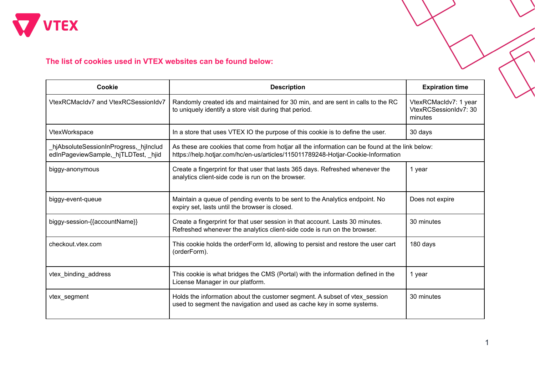

## **The list of cookies used in VTEX websites can be found below:**

| <b>Cookie</b>                                                                  | <b>Description</b>                                                                                                                                                                 | <b>Expiration time</b>                                    |
|--------------------------------------------------------------------------------|------------------------------------------------------------------------------------------------------------------------------------------------------------------------------------|-----------------------------------------------------------|
| VtexRCMacIdv7 and VtexRCSessionIdv7                                            | Randomly created ids and maintained for 30 min, and are sent in calls to the RC<br>to uniquely identify a store visit during that period.                                          | VtexRCMacIdv7: 1 year<br>VtexRCSessionIdv7: 30<br>minutes |
| VtexWorkspace                                                                  | In a store that uses VTEX IO the purpose of this cookie is to define the user.                                                                                                     | 30 days                                                   |
| hjAbsoluteSessionInProgress,_hjInclud_<br>edInPageviewSample,_hjTLDTest, _hjid | As these are cookies that come from hotjar all the information can be found at the link below:<br>https://help.hotjar.com/hc/en-us/articles/115011789248-Hotjar-Cookie-Information |                                                           |
| biggy-anonymous                                                                | Create a fingerprint for that user that lasts 365 days. Refreshed whenever the<br>analytics client-side code is run on the browser.                                                | 1 year                                                    |
| biggy-event-queue                                                              | Maintain a queue of pending events to be sent to the Analytics endpoint. No<br>expiry set, lasts until the browser is closed.                                                      | Does not expire                                           |
| biggy-session-{{accountName}}                                                  | Create a fingerprint for that user session in that account. Lasts 30 minutes.<br>Refreshed whenever the analytics client-side code is run on the browser.                          | 30 minutes                                                |
| checkout.vtex.com                                                              | This cookie holds the orderForm Id, allowing to persist and restore the user cart<br>(orderForm).                                                                                  | 180 days                                                  |
| vtex_binding_address                                                           | This cookie is what bridges the CMS (Portal) with the information defined in the<br>License Manager in our platform.                                                               | 1 year                                                    |
| vtex_segment                                                                   | Holds the information about the customer segment. A subset of vtex_session<br>used to segment the navigation and used as cache key in some systems.                                | 30 minutes                                                |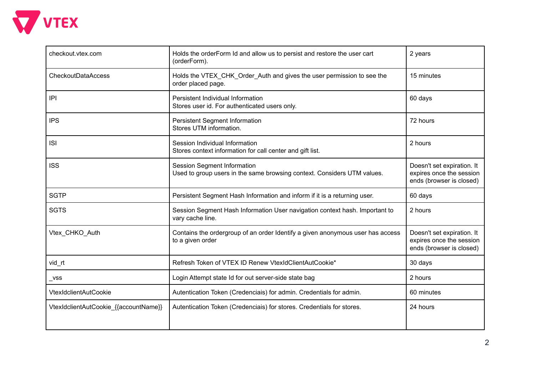

| checkout.vtex.com                     | Holds the orderForm Id and allow us to persist and restore the user cart<br>(orderForm).               | 2 years                                                                            |
|---------------------------------------|--------------------------------------------------------------------------------------------------------|------------------------------------------------------------------------------------|
| <b>CheckoutDataAccess</b>             | Holds the VTEX_CHK_Order_Auth and gives the user permission to see the<br>order placed page.           | 15 minutes                                                                         |
| P                                     | Persistent Individual Information<br>Stores user id. For authenticated users only.                     | 60 days                                                                            |
| <b>IPS</b>                            | Persistent Segment Information<br>Stores UTM information.                                              | 72 hours                                                                           |
| <b>ISI</b>                            | Session Individual Information<br>Stores context information for call center and gift list.            | 2 hours                                                                            |
| <b>ISS</b>                            | Session Segment Information<br>Used to group users in the same browsing context. Considers UTM values. | Doesn't set expiration. It<br>expires once the session<br>ends (browser is closed) |
| <b>SGTP</b>                           | Persistent Segment Hash Information and inform if it is a returning user.                              | 60 days                                                                            |
| <b>SGTS</b>                           | Session Segment Hash Information User navigation context hash. Important to<br>vary cache line.        | 2 hours                                                                            |
| Vtex_CHKO_Auth                        | Contains the ordergroup of an order Identify a given anonymous user has access<br>to a given order     | Doesn't set expiration. It<br>expires once the session<br>ends (browser is closed) |
| vid_rt                                | Refresh Token of VTEX ID Renew VtexIdClientAutCookie*                                                  | 30 days                                                                            |
| $_{\mathsf{L}}$ vss                   | Login Attempt state Id for out server-side state bag                                                   | 2 hours                                                                            |
| <b>VtexIdclientAutCookie</b>          | Autentication Token (Credenciais) for admin. Credentials for admin.                                    | 60 minutes                                                                         |
| VtexIdclientAutCookie_{{accountName}} | Autentication Token (Credenciais) for stores. Credentials for stores.                                  | 24 hours                                                                           |